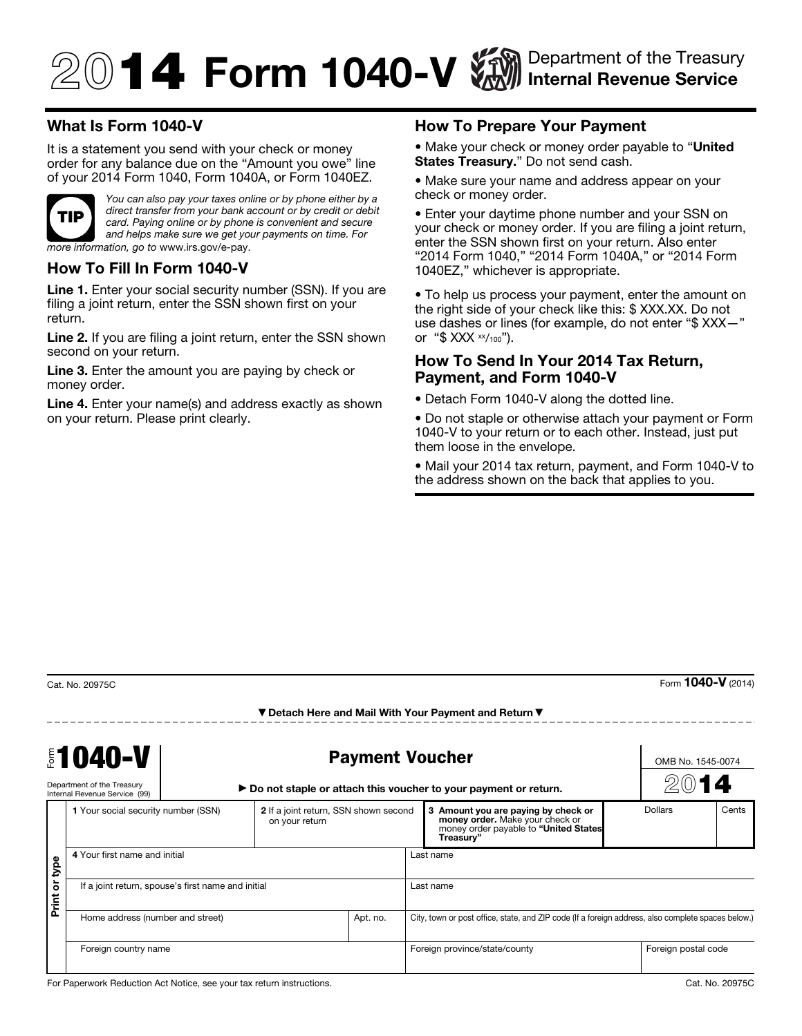# $\textcircled{14}$  Form 1040-V  $\textcircled{14}$  Internal Revenue Service Internal Revenue Service

## What Is Form 1040-V

It is a statement you send with your check or money order for any balance due on the "Amount you owe" line of your 2014 Form 1040, Form 1040A, or Form 1040EZ.



*You can also pay your taxes online or by phone either by a direct transfer from your bank account or by credit or debit card. Paying online or by phone is convenient and secure and helps make sure we get your payments on time. For more information, go to* www.irs.gov/e-pay.

#### How To Fill In Form 1040-V

Line 1. Enter your social security number (SSN). If you are filing a joint return, enter the SSN shown first on your return.

Line 2. If you are filing a joint return, enter the SSN shown second on your return.

Line 3. Enter the amount you are paying by check or money order.

Line 4. Enter your name(s) and address exactly as shown on your return. Please print clearly.

### How To Prepare Your Payment

• Make your check or money order payable to "United" States Treasury." Do not send cash.

• Make sure your name and address appear on your check or money order.

• Enter your daytime phone number and your SSN on your check or money order. If you are filing a joint return, enter the SSN shown first on your return. Also enter "2014 Form 1040," "2014 Form 1040A," or "2014 Form 1040EZ," whichever is appropriate.

• To help us process your payment, enter the amount on the right side of your check like this: \$ XXX.XX. Do not use dashes or lines (for example, do not enter "\$ XXX—" or " $$ XXX \times \frac{1}{100}$ ").

#### How To Send In Your 2014 Tax Return, Payment, and Form 1040-V

• Detach Form 1040-V along the dotted line.

• Do not staple or otherwise attach your payment or Form 1040-V to your return or to each other. Instead, just put them loose in the envelope.

• Mail your 2014 tax return, payment, and Form 1040-V to the address shown on the back that applies to you.

Form  $1040-V$  (2014)

| <b>\$1040-V</b><br>Department of the Treasury<br>Internal Revenue Service (99) |                                                    | <b>Payment Voucher</b><br>► Do not staple or attach this voucher to your payment or return. |                                                         |          |                                                                                                    |                                                                                                                              | OMB No. 1545-0074 | 14                  |       |
|--------------------------------------------------------------------------------|----------------------------------------------------|---------------------------------------------------------------------------------------------|---------------------------------------------------------|----------|----------------------------------------------------------------------------------------------------|------------------------------------------------------------------------------------------------------------------------------|-------------------|---------------------|-------|
|                                                                                | 1 Your social security number (SSN)                |                                                                                             | 2 If a joint return, SSN shown second<br>on your return |          |                                                                                                    | 3 Amount you are paying by check or<br>money order. Make your check or<br>money order payable to "United States<br>Treasury" | <b>Dollars</b>    |                     | Cents |
| bde<br>$\overleftarrow{\sigma}$<br>Print                                       | 4 Your first name and initial                      |                                                                                             |                                                         |          | Last name                                                                                          |                                                                                                                              |                   |                     |       |
|                                                                                | If a joint return, spouse's first name and initial |                                                                                             |                                                         |          | Last name                                                                                          |                                                                                                                              |                   |                     |       |
|                                                                                | Home address (number and street)                   |                                                                                             |                                                         | Apt. no. | City, town or post office, state, and ZIP code (If a foreign address, also complete spaces below.) |                                                                                                                              |                   |                     |       |
|                                                                                | Foreign country name                               |                                                                                             |                                                         |          | Foreign province/state/county                                                                      |                                                                                                                              |                   | Foreign postal code |       |

▼ Detach Here and Mail With Your Payment and Return ▼

For Paperwork Reduction Act Notice, see your tax return instructions. Cat. No. 20975C